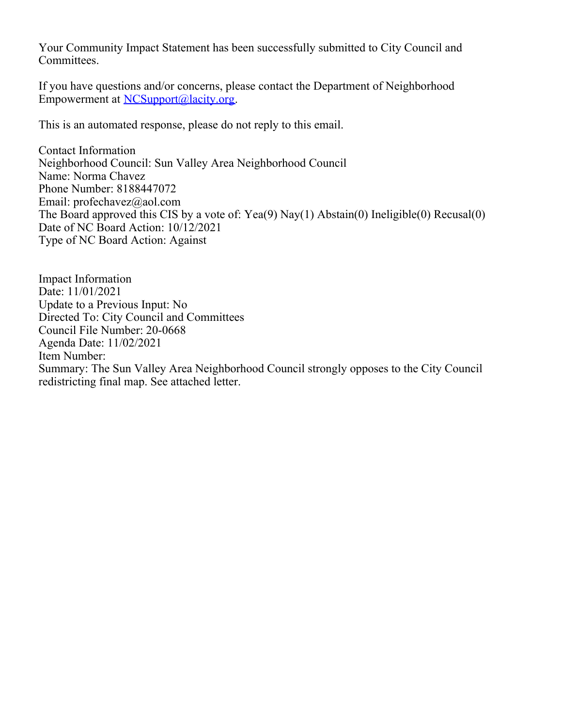Your Community Impact Statement has been successfully submitted to City Council and Committees.

If you have questions and/or concerns, please contact the Department of Neighborhood Empowerment at [NCSupport@lacity.org](mailto:NCSupport@lacity.org).

This is an automated response, please do not reply to this email.

Contact Information Neighborhood Council: Sun Valley Area Neighborhood Council Name: Norma Chavez Phone Number: 8188447072 Email: profechavez@aol.com The Board approved this CIS by a vote of: Yea(9) Nay(1) Abstain(0) Ineligible(0) Recusal(0) Date of NC Board Action: 10/12/2021 Type of NC Board Action: Against

Impact Information Date: 11/01/2021 Update to a Previous Input: No Directed To: City Council and Committees Council File Number: 20-0668 Agenda Date: 11/02/2021 Item Number: Summary: The Sun Valley Area Neighborhood Council strongly opposes to the City Council redistricting final map. See attached letter.